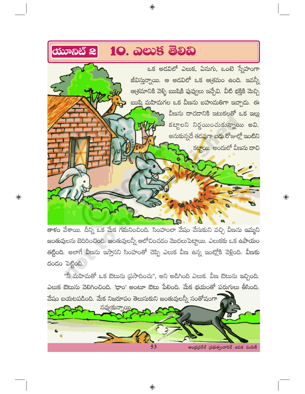

 $\bigoplus$ 

తాకం వేశాయి. దీన్ని ఒక మేక గమనించింది. సింహంలా వేషం వేసుకుని వచ్చి వీణను ఇమ్మని జంతువులను బెదిరించింది. జంతువులన్నీ ఆలోచించడం మొదలుపెట్టాయి. ఎలుకకు ఒక ఉపాయం తట్టింది. అలాగే వీణను ఇస్తానని సింహంతో చెప్పి ఎలుక వీణ ఉన్న ఇంట్లోకి వెళ్లింది. వీణకు దండం పెట్టింది.

 $\bigoplus$ 

 $\bigoplus$ 

"నీ మహిమతో ఒక ఔటును (పసాదించు", అని అడిగింది ఎలుక. వీణ ఔటును ఇచ్చింది. ఎలుక ఔటును వెలిగించింది. 'ధాం' అంటూ ఔటు పేలింది. మేక భయంతో పరుగులు తీసింది. వేషం బయటపడింది. మేక నిజరూపం తెలుసుకుని జంతువులన్నీ సంతోషంగా

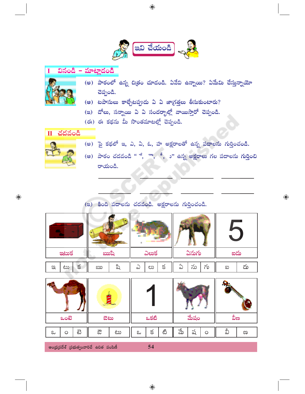

## వినండి – మాట్లాదండి Ī



- (అ) పాఠంలో ఉన్న చిత్రం చూడండి. ఏవేవి ఉన్నాయి? ఏమేమి చేస్తున్నాయో చెప్పండి.
- (అ) టపాసులు కాల్చేటప్పుడు ఏ ఏ జాగ్రత్తలు తీసుకుంటారు?
- (ఇ) దోలు, సన్నాయి ఏ ఏ సందర్భాల్లో వాయిస్తారో చెప్పండి.
- (ఈ) ఈ కథను మీ సొంతమాటల్లో చెప్పండి.



(అ) పై కథలో ఇ, ఎ, ఏ, ఓ, హ అక్షరాలతో ఉన్న పదాలను గుర్తించండి.



 $\bigoplus$ 

(ఆ) పాఠం చదవండి "ే, ౌ, ీ, ు" ఉన్న అక్షరాలు గల పదాలను <mark>గుర్తించ</mark>ి రాయండి.

 $\bigoplus$ 

## (ఇ) కింది పదాలను చదవండి. అక్షరాలను గుర్తించండి.

| <b>assis</b>       | ಋಪಿ     | ఎలుక         | ఏనుగు             | ఐదు     |
|--------------------|---------|--------------|-------------------|---------|
| క<br>$\infty$<br>ೞ | ವಿ<br>ఋ | క<br>ಲು<br>ഄ | $\sim$<br>ను<br>ഄ | దు<br>ဆ |

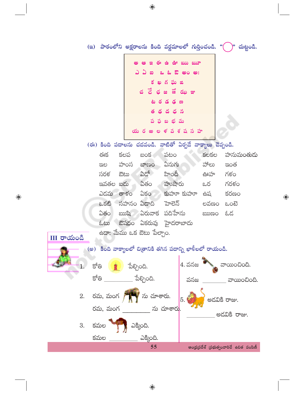(ఇ) పాఠంలోని అక్షరాలను కింది వర్ణమాలలో గుర్తించండి. "( )" చుట్టండి. ఆ ఇఈ ఉ ఊ ఋ ౠ ్స ఐ ఒ ఓ ఔ అం అ: కఖ గఘ జ చ చే ఛజ జే ఝ ఞ ద ద న బ భ మ య రఱల ళవశషసహ (ఈ) కింది పదాలను చదవండి. వాటితో ఏర్పడే వాక్యాలు చెప్పండి. పటం ఈక కలప బంక కలకల హనుమంతుడు ಬೌಣಂ ఏనుగు హంస హాలు ఇంత ಇಲ ఏడో హిందీ సరళ ಔಟು గళం ఊహ ఏతం హుషారు ఇవతల ఐదు గరళం ఒర .<br>ఏకం కుహూ కుహూ ఎదమ తాళం కరణం ఉష ఒకటి సహనం ఏడాది ెవాలెన్ లవణం ఒంటె ఏతం ఋషి ఏరువాక పదిహేను awso & ස ఓటు ఔషధం ఏకరువు హైదరాబాదు ఉదా: మేము ఒక ఔటు పేల్చాం. III **రా**యండి (అ) కింది వాక్యాలలో చిత్రానికి తగిన పదాన్ని ఖాళీలలో రాయండి.  $4.3$ నజ $\begin{array}{|c|c|} \hline \end{array}$ నాయించింది. క్రాత్రి \_\_\_\_\_\_\_\_\_\_\_\_\_\_\_ పేల్చింది. క్రోత్రి వనజ ವಾಯಂವಿಂದಿ. రమ, మంగ $\sqrt{2\pi}$  ను చూశారు.  $\vert_5$ 2. <sup>'</sup> అడవికి రాజు. రమ, మంగ \_\_\_\_\_\_\_\_\_ ను చూశార<mark>ు</mark>. అడవికి రాజు. 3. కమల 11 ఎక్కింది. కమల ఎక్కింది. 55 ఆంధ్రప్రదేశ్ (పభుత్వంవారిచే ఉచిత పంపిణీ

 $\bigoplus$ 

 $\bigoplus$ 

 $\bigoplus$